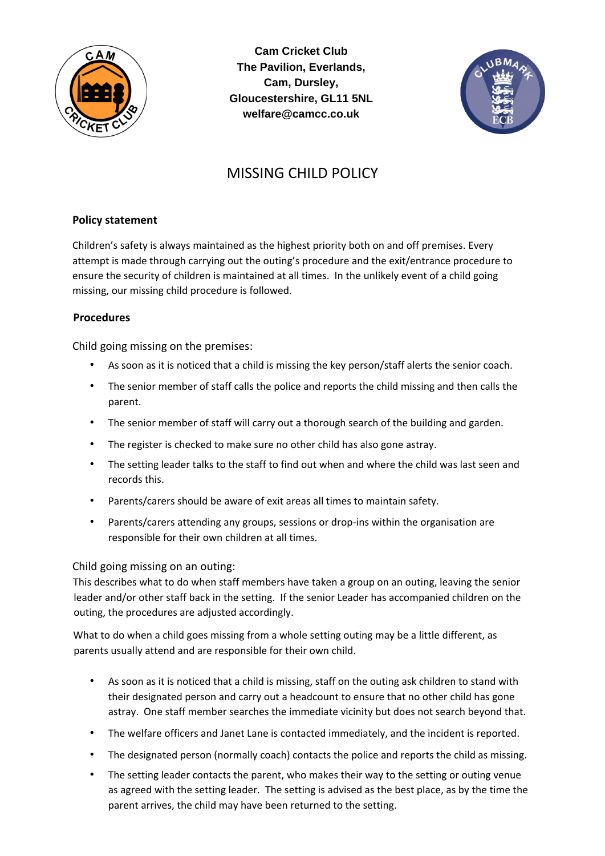

**Cam Cricket Club The Pavilion, Everlands, Cam, Dursley, Gloucestershire, GL11 5NL welfare@camcc.co.uk** 



# MISSING CHILD POLICY

## **Policy statement**

Children's safety is always maintained as the highest priority both on and off premises. Every attempt is made through carrying out the outing's procedure and the exit/entrance procedure to ensure the security of children is maintained at all times. In the unlikely event of a child going missing, our missing child procedure is followed.

### **Procedures**

Child going missing on the premises:

- As soon as it is noticed that a child is missing the key person/staff alerts the senior coach.
- The senior member of staff calls the police and reports the child missing and then calls the parent.
- The senior member of staff will carry out a thorough search of the building and garden.
- The register is checked to make sure no other child has also gone astray.
- The setting leader talks to the staff to find out when and where the child was last seen and records this.
- Parents/carers should be aware of exit areas all times to maintain safety.
- Parents/carers attending any groups, sessions or drop-ins within the organisation are responsible for their own children at all times.

#### Child going missing on an outing:

This describes what to do when staff members have taken a group on an outing, leaving the senior leader and/or other staff back in the setting. If the senior Leader has accompanied children on the outing, the procedures are adjusted accordingly.

What to do when a child goes missing from a whole setting outing may be a little different, as parents usually attend and are responsible for their own child.

- As soon as it is noticed that a child is missing, staff on the outing ask children to stand with their designated person and carry out a headcount to ensure that no other child has gone astray. One staff member searches the immediate vicinity but does not search beyond that.
- The welfare officers and Janet Lane is contacted immediately, and the incident is reported.
- The designated person (normally coach) contacts the police and reports the child as missing.
- The setting leader contacts the parent, who makes their way to the setting or outing venue as agreed with the setting leader. The setting is advised as the best place, as by the time the parent arrives, the child may have been returned to the setting.